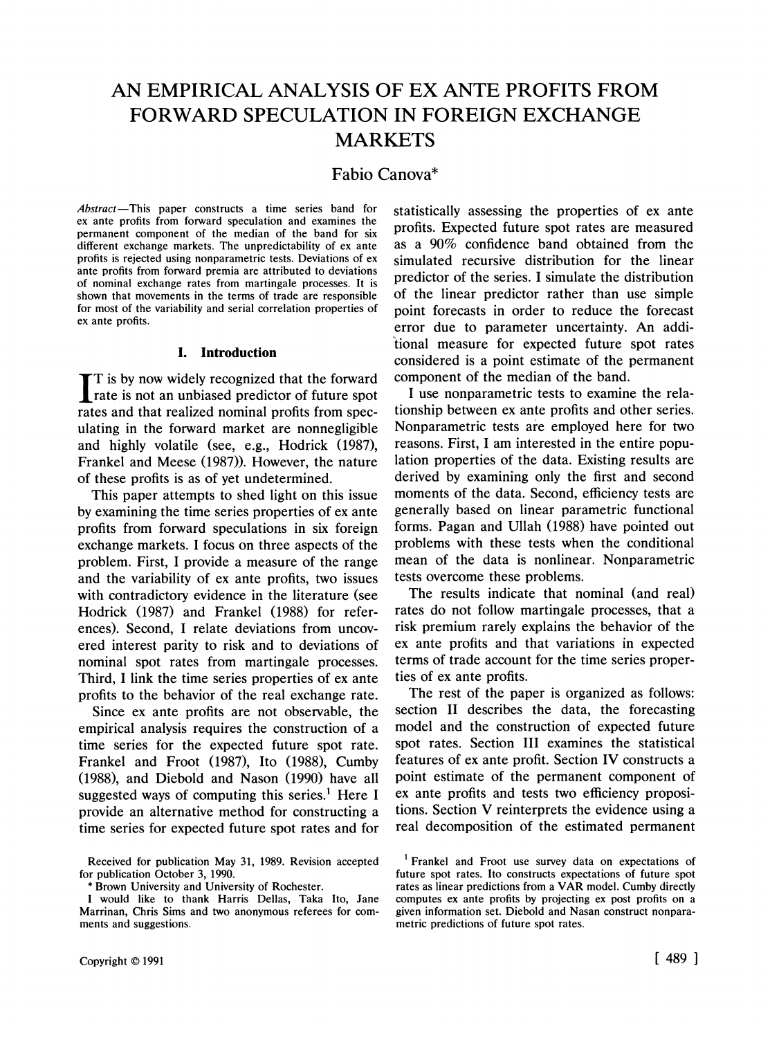# **AN EMPIRICAL ANALYSIS OF EX ANTE PROFITS FROM FORWARD SPECULATION IN FOREIGN EXCHANGE MARKETS**

## **Fabio Canova\***

**Abstract-This paper constructs a time series band for ex ante profits from forward speculation and examines the permanent component of the median of the band for six different exchange markets. The unpredictability of ex ante profits is rejected using nonparametric tests. Deviations of ex ante profits from forward premia are attributed to deviations of nominal exchange rates from martingale processes. It is shown that movements in the terms of trade are responsible for most of the variability and serial correlation properties of ex ante profits.** 

#### **1. Introduction**

**T is by now widely recognized that the forward rate is not an unbiased predictor of future spot** rate is not an unbiased predictor of future spot **rates and that realized nominal profits from speculating in the forward market are nonnegligible and highly volatile (see, e.g., Hodrick (1987), Frankel and Meese (1987)). However, the nature of these profits is as of yet undetermined.** 

**This paper attempts to shed light on this issue by examining the time series properties of ex ante profits from forward speculations in six foreign exchange markets. I focus on three aspects of the problem. First, I provide a measure of the range and the variability of ex ante profits, two issues with contradictory evidence in the literature (see Hodrick (1987) and Frankel (1988) for references). Second, I relate deviations from uncovered interest parity to risk and to deviations of nominal spot rates from martingale processes. Third, I link the time series properties of ex ante profits to the behavior of the real exchange rate.** 

**Since ex ante profits are not observable, the empirical analysis requires the construction of a time series for the expected future spot rate. Frankel and Froot (1987), Ito (1988), Cumby (1988), and Diebold and Nason (1990) have all suggested ways of computing this series.' Here I provide an alternative method for constructing a time series for expected future spot rates and for**  **statistically assessing the properties of ex ante profits. Expected future spot rates are measured as a 90% confidence band obtained from the simulated recursive distribution for the linear predictor of the series. I simulate the distribution of the linear predictor rather than use simple point forecasts in order to reduce the forecast error due to parameter uncertainty. An additional measure for expected future spot rates considered is a point estimate of the permanent component of the median of the band.** 

**I use nonparametric tests to examine the relationship between ex ante profits and other series. Nonparametric tests are employed here for two reasons. First, I am interested in the entire population properties of the data. Existing results are derived by examining only the first and second moments of the data. Second, efficiency tests are generally based on linear parametric functional forms. Pagan and Ullah (1988) have pointed out problems with these tests when the conditional mean of the data is nonlinear. Nonparametric tests overcome these problems.** 

**The results indicate that nominal (and real) rates do not follow martingale processes, that a risk premium rarely explains the behavior of the ex ante profits and that variations in expected terms of trade account for the time series properties of ex ante profits.** 

**The rest of the paper is organized as follows: section II describes the data, the forecasting model and the construction of expected future spot rates. Section III examines the statistical features of ex ante profit. Section IV constructs a point estimate of the permanent component of ex ante profits and tests two efficiency propositions. Section V reinterprets the evidence using a real decomposition of the estimated permanent** 

**Received for publication May 31, 1989. Revision accepted for publication October 3, 1990.** 

Brown University and University of Rochester.

**I would like to thank Harris Dellas, Taka Ito, Jane Marrinan, Chris Sims and two anonymous referees for comments and suggestions.** 

**<sup>1</sup> Frankel and Froot use survey data on expectations of future spot rates. Ito constructs expectations of future spot rates as linear predictions from a VAR model. Cumby directly computes ex ante profits by projecting ex post profits on a given information set. Diebold and Nasan construct nonparametric predictions of future spot rates.**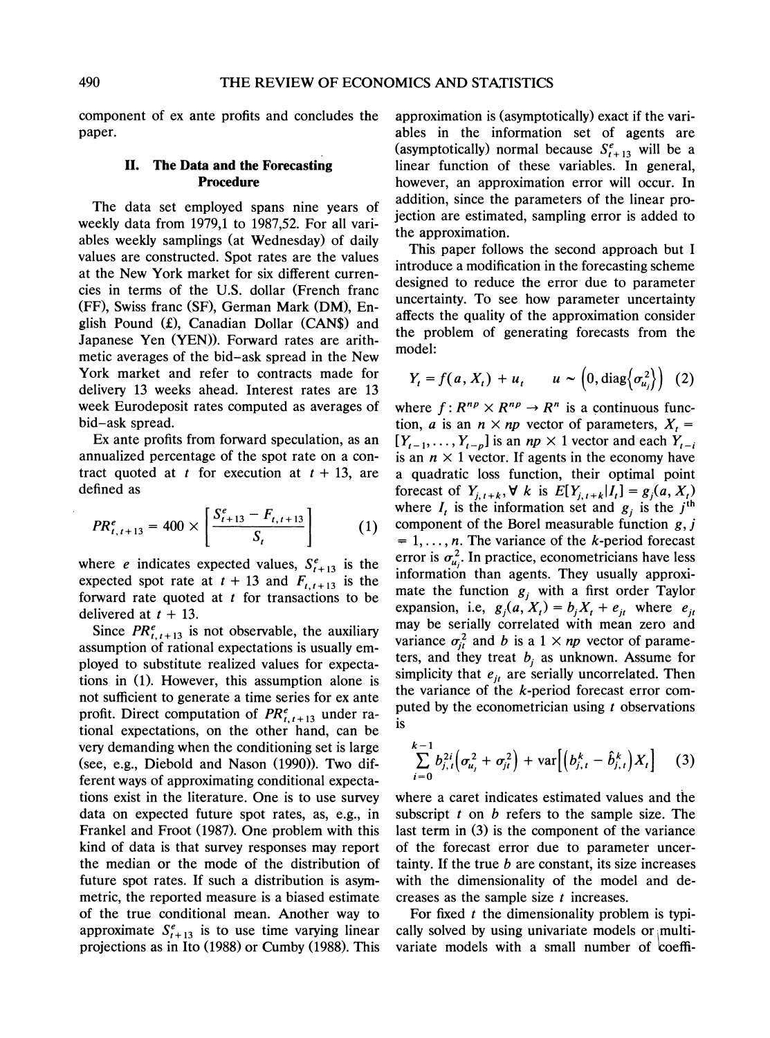**component of ex ante profits and concludes the paper.** 

#### **II. The Data and the Forecasting Procedure**

**The data set employed spans nine years of weekly data from 1979,1 to 1987,52. For all variables weekly samplings (at Wednesday) of daily values are constructed. Spot rates are the values at the New York market for six different currencies in terms of the U.S. dollar (French franc (FF), Swiss franc (SF), German Mark (DM), En**glish Pound (£), Canadian Dollar (CAN\$) and **Japanese Yen (YEN)). Forward rates are arithmetic averages of the bid-ask spread in the New York market and refer to contracts made for delivery 13 weeks ahead. Interest rates are 13 week Eurodeposit rates computed as averages of bid-ask spread.** 

**Ex ante profits from forward speculation, as an annualized percentage of the spot rate on a con**tract quoted at t for execution at  $t + 13$ , are **defined as** 

$$
PR_{t,t+13}^{e} = 400 \times \left[ \frac{S_{t+13}^{e} - F_{t,t+13}}{S_{t}} \right]
$$
 (1)

where *e* indicates expected values,  $S_{t+13}^e$  is the expected spot rate at  $t + 13$  and  $F_{t,t+13}$  is the **forward rate quoted at t for transactions to be**  delivered at  $t + 13$ .

Since  $PR_{t,t+13}^e$  is not observable, the auxiliary **assumption of rational expectations is usually employed to substitute realized values for expectations in (1). However, this assumption alone is not sufficient to generate a time series for ex ante**  profit. Direct computation of  $PR_{t,t+13}^e$  under ra**tional expectations, on the other hand, can be very demanding when the conditioning set is large (see, e.g., Diebold and Nason (1990)). Two different ways of approximating conditional expectations exist in the literature. One is to use survey data on expected future spot rates, as, e.g., in Frankel and Froot (1987). One problem with this kind of data is that survey responses may report the median or the mode of the distribution of future spot rates. If such a distribution is asymmetric, the reported measure is a biased estimate of the true conditional mean. Another way to**  approximate  $S_{t+13}^e$  is to use time varying linear **projections as in Ito (1988) or Cumby (1988). This** 

**approximation is (asymptotically) exact if the variables in the information set of agents are**  (asymptotically) normal because  $S_{t+13}^e$  will be a **linear function of these variables. In general, however, an approximation error will occur. In addition, since the parameters of the linear projection are estimated, sampling error is added to the approximation.** 

**This paper follows the second approach but I introduce a modification in the forecasting scheme designed to reduce the error due to parameter uncertainty. To see how parameter uncertainty affects the quality of the approximation consider the problem of generating forecasts from the model:** 

$$
Y_t = f(a, X_t) + u_t \qquad u \sim \left(0, \text{diag}\left\{\sigma_{u_j}^2\right\}\right) \tag{2}
$$

where  $f: R^{np} \times R^{np} \rightarrow R^n$  is a continuous func**tion, a** is an  $n \times np$  vector of parameters,  $X_t =$  $[Y_{t-1}, \ldots, Y_{t-n}]$  is an  $np \times 1$  vector and each  $Y_{t-i}$ is an  $n \times 1$  vector. If agents in the economy have **a quadratic loss function, their optimal point forecast of** *Y<sub>i, t+k</sub>***,**  $\forall$ *k* **is**  $E[Y_{i,t+k}|I_t] = g_i(a, X_t)$ where  $I_t$  is the information set and  $g_i$  is the  $j^{\text{th}}$ **component of the Borel measurable function g, j**   $= 1, \ldots, n$ . The variance of the *k*-period forecast error is  $\sigma_{u}^2$ . In practice, econometricians have less **information than agents. They usually approxi**mate the function  $g_i$  with a first order Taylor expansion, i.e,  $g_j(a, X_t) = b_j X_t + e_{jt}$  where  $e_{jt}$ **may be serially correlated with mean zero and**  variance  $\sigma_{it}^2$  and b is a 1  $\times$  *np* vector of parameters, and they treat  $b_i$  as unknown. Assume for simplicity that  $e_{it}$  are serially uncorrelated. Then **the variance of the k-period forecast error computed by the econometrician using t observations is** 

$$
\sum_{i=0}^{k-1} b_{j,t}^{2i} \Big( \sigma_{u_j}^2 + \sigma_{jt}^2 \Big) + \text{var} \Big[ \Big( b_{j,t}^k - \hat{b}_{j,t}^k \Big) X_t \Big] \qquad (3)
$$

**where a caret indicates estimated values and the subscript t on b refers to the sample size. The last term in (3) is the component of the variance of the forecast error due to parameter uncertainty. If the true b are constant, its size increases with the dimensionality of the model and decreases as the sample size t increases.** 

For fixed *t* the dimensionality problem is typically solved by using univariate models or multi**variate models with a small number of coeffi-**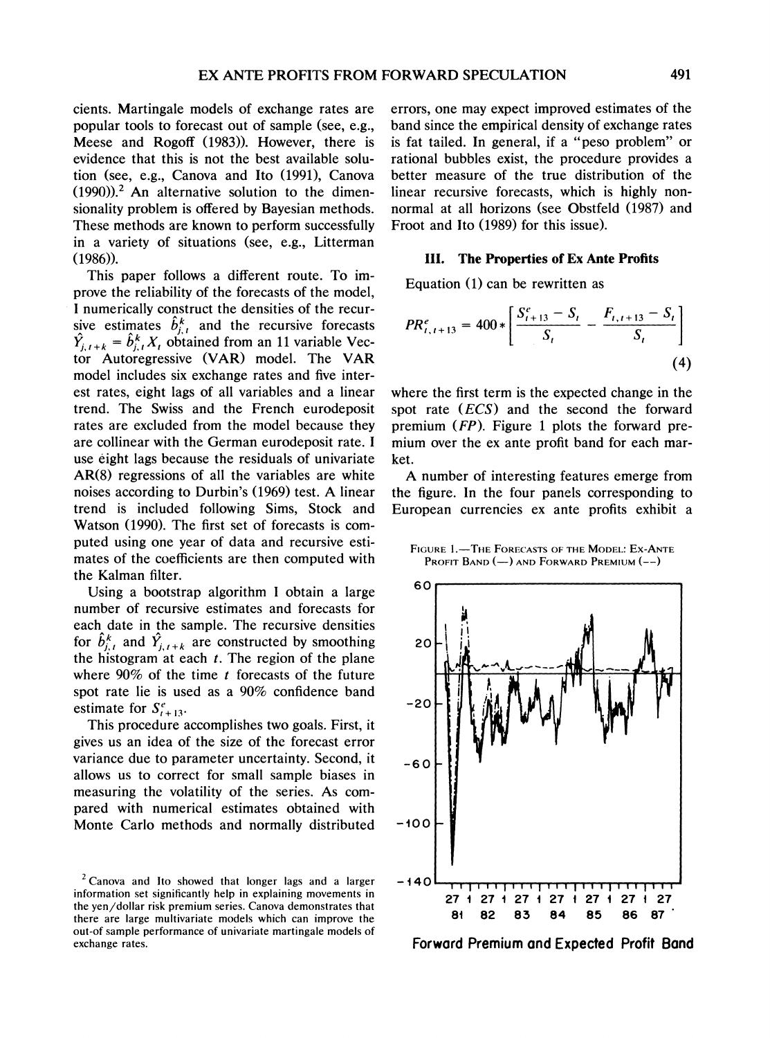**cients. Martingale models of exchange rates are popular tools to forecast out of sample (see, e.g., Meese and Rogoff (1983)). However, there is evidence that this is not the best available solution (see, e.g., Canova and Ito (1991), Canova (1990)).2 An alternative solution to the dimensionality problem is offered by Bayesian methods. These methods are known to perform successfully in a variety of situations (see, e.g., Litterman (1986)).** 

**This paper follows a different route. To improve the reliability of the forecasts of the model, I numerically construct the densities of the recur**sive estimates  $b_{j,t}^{k}$  and the recursive forecasts  $\hat{Y}_{j, t+k} = \hat{b}_{j, t}^k X_t$  obtained from an 11 variable Vec**tor Autoregressive (VAR) model. The VAR model includes six exchange rates and five interest rates, eight lags of all variables and a linear trend. The Swiss and the French eurodeposit rates are excluded from the model because they are collinear with the German eurodeposit rate. I use eight lags because the residuals of univariate AR(8) regressions of all the variables are white noises according to Durbin's (1969) test. A linear trend is included following Sims, Stock and Watson (1990). The first set of forecasts is computed using one year of data and recursive estimates of the coefficients are then computed with the Kalman filter.** 

**Using a bootstrap algorithm I obtain a large number of recursive estimates and forecasts for each date in the sample. The recursive densities**  for  $\hat{b}^k_{i,t}$  and  $\hat{Y}_{i,t+k}$  are constructed by smoothing **the histogram at each t. The region of the plane**  where 90% of the time *t* forecasts of the future **spot rate lie is used as a 90% confidence band**  estimate for  $S_{t+13}^e$ .

**This procedure accomplishes two goals. First, it gives us an idea of the size of the forecast error variance due to parameter uncertainty. Second, it allows us to correct for small sample biases in measuring the volatility of the series. As compared with numerical estimates obtained with Monte Carlo methods and normally distributed** 

**errors, one may expect improved estimates of the band since the empirical density of exchange rates is fat tailed. In general, if a "peso problem" or rational bubbles exist, the procedure provides a better measure of the true distribution of the linear recursive forecasts, which is highly nonnormal at all horizons (see Obstfeld (1987) and Froot and Ito (1989) for this issue).** 

#### **111. The Properties of Ex Ante Profits**

**Equation (1) can be rewritten as** 

$$
PR_{t,t+13}^{e} = 400 * \left[ \frac{S_{t+13}^{e} - S_{t}}{S_{t}} - \frac{F_{t,t+13} - S_{t}}{S_{t}} \right]
$$
\n(4)

**where the first term is the expected change in the spot rate (ECS) and the second the forward premium (FP). Figure 1 plots the forward premium over the ex ante profit band for each market.** 

**A number of interesting features emerge from the figure. In the four panels corresponding to European currencies ex ante profits exhibit a** 

FIGURE 1.<sup>-</sup>The FORECASTS OF THE MODEL: EX-ANTE **PROFIT BAND (-) AND FORWARD PREMIUM (--)** 



**Forward Premium and Expected Profit Band** 

**<sup>2</sup>Canova and Ito showed that longer lags and a larger information set significantly help in explaining movements in the yen/dollar risk premium series. Canova demonstrates that there are large multivariate models which can improve the out-of sample performance of univariate martingale models of exchange rates.**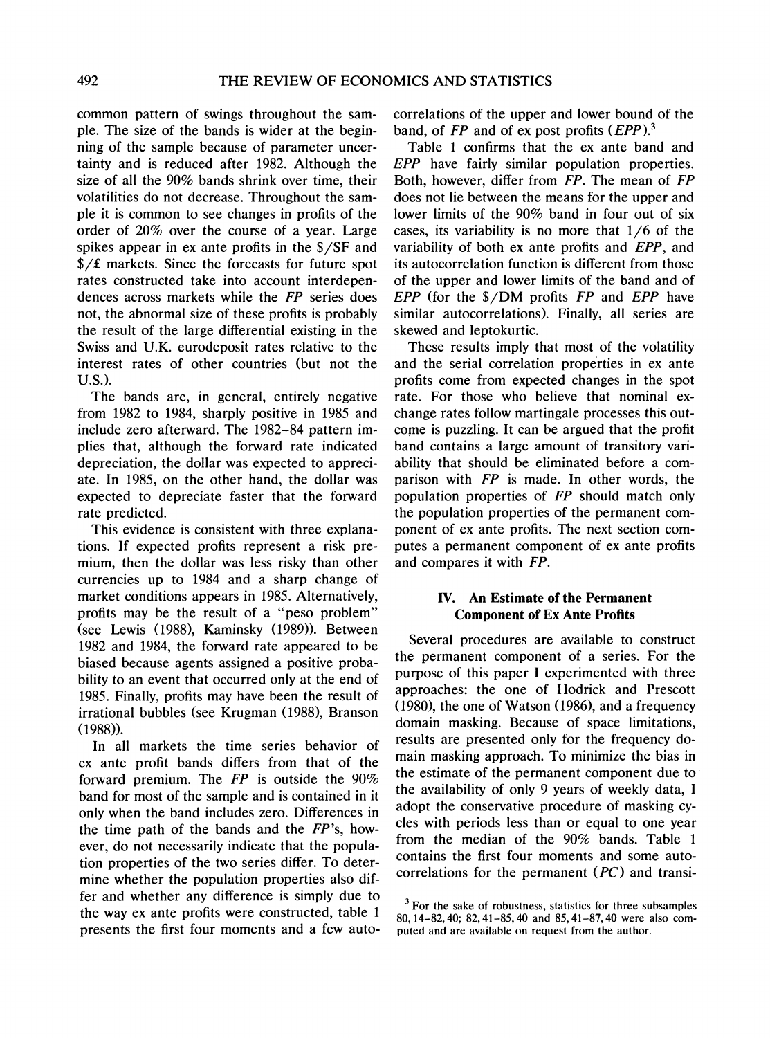**common pattern of swings throughout the sample. The size of the bands is wider at the beginning of the sample because of parameter uncertainty and is reduced after 1982. Although the size of all the 90% bands shrink over time, their volatilities do not decrease. Throughout the sample it is common to see changes in profits of the order of 20% over the course of a year. Large spikes appear in ex ante profits in the \$/SF and**  \$/£ markets. Since the forecasts for future spot **rates constructed take into account interdependences across markets while the FP series does not, the abnormal size of these profits is probably the result of the large differential existing in the Swiss and U.K. eurodeposit rates relative to the interest rates of other countries (but not the U.S.).** 

**The bands are, in general, entirely negative from 1982 to 1984, sharply positive in 1985 and include zero afterward. The 1982-84 pattern implies that, although the forward rate indicated depreciation, the dollar was expected to appreciate. In 1985, on the other hand, the dollar was expected to depreciate faster that the forward rate predicted.** 

**This evidence is consistent with three explanations. If expected profits represent a risk premium, then the dollar was less risky than other currencies up to 1984 and a sharp change of market conditions appears in 1985. Alternatively, profits may be the result of a "peso problem" (see Lewis (1988), Kaminsky (1989)). Between 1982 and 1984, the forward rate appeared to be biased because agents assigned a positive probability to an event that occurred only at the end of 1985. Finally, profits may have been the result of irrational bubbles (see Krugman (1988), Branson (1988)).** 

**In all markets the time series behavior of ex ante profit bands differs from that of the forward premium. The FP is outside the 90% band for most of the sample and is contained in it only when the band includes zero. Differences in the time path of the bands and the FP's, however, do not necessarily indicate that the population properties of the two series differ. To determine whether the population properties also differ and whether any difference is simply due to the way ex ante profits were constructed, table 1 presents the first four moments and a few auto-** **correlations of the upper and lower bound of the band, of FP and of ex post profits (EPP).3** 

**Table 1 confirms that the ex ante band and EPP have fairly similar population properties. Both, however, differ from FP. The mean of FP does not lie between the means for the upper and lower limits of the 90% band in four out of six cases, its variability is no more that 1/6 of the variability of both ex ante profits and EPP, and its autocorrelation function is different from those of the upper and lower limits of the band and of EPP (for the \$/DM profits FP and EPP have similar autocorrelations). Finally, all series are skewed and leptokurtic.** 

**These results imply that most of the volatility and the serial correlation properties in ex ante profits come from expected changes in the spot rate. For those who believe that nominal exchange rates follow martingale processes this outcome is puzzling. It can be argued that the profit band contains a large amount of transitory variability that should be eliminated before a comparison with FP is made. In other words, the population properties of FP should match only the population properties of the permanent component of ex ante profits. The next section computes a permanent component of ex ante profits and compares it with FP.** 

### **IV. An Estimate of the Permanent Component of Ex Ante Profits**

**Several procedures are available to construct the permanent component of a series. For the purpose of this paper I experimented with three approaches: the one of Hodrick and Prescott (1980), the one of Watson (1986), and a frequency domain masking. Because of space limitations, results are presented only for the frequency domain masking approach. To minimize the bias in the estimate of the permanent component due to the availability of only 9 years of weekly data, I adopt the conservative procedure of masking cycles with periods less than or equal to one year from the median of the 90% bands. Table 1 contains the first four moments and some autocorrelations for the permanent (PC) and transi-**

**<sup>3</sup>For the sake of robustness, statistics for three subsamples 80, 14-82,40; 82,41-85,40 and 85,41-87,40 were also computed and are available on request from the author.**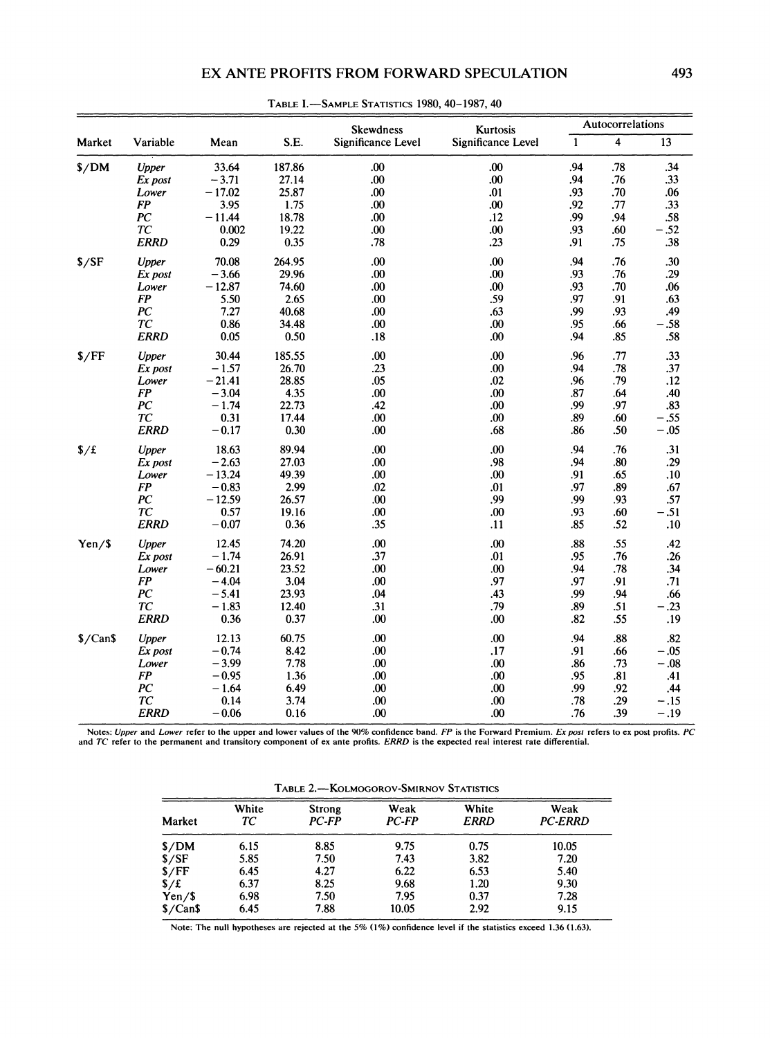## **EX ANTE PROFITS FROM FORWARD SPECULATION 493**

| $\overline{\mathbf{4}}$<br>S.E.<br>Significance Level<br>Significance Level<br>$\mathbf{1}$<br>13<br>Variable<br>Mean<br>.34<br>33.64<br>187.86<br>.00.<br>.00.<br>.94<br>.78<br><b>Upper</b><br>.00<br>.00.<br>.94<br>.33<br>$-3.71$<br>27.14<br>.76<br>Ex post<br>$-17.02$<br>25.87<br>.00<br>.01<br>.93<br>.70<br>.06<br>Lower<br><b>FP</b><br>3.95<br>1.75<br>.00<br>.00.<br>.77<br>.33<br>.92<br>PC<br>$-11.44$<br>18.78<br>.00<br>.12<br>.99<br>.94<br>.58<br>TC<br>$-.52$<br>0.002<br>19.22<br>.00<br>.00<br>.93<br>.60<br><b>ERRD</b><br>0.29<br>0.35<br>.23<br>.38<br>.78<br>.91<br>.75<br>264.95<br>.00<br>.00<br>.94<br>.76<br>.30<br>70.08<br>Upper<br>.00<br>$-3.66$<br>29.96<br>.00<br>.93<br>.76<br>.29<br>Ex post<br>$-12.87$<br>74.60<br>.00<br>.00<br>.93<br>.70<br>.06<br>Lower<br><b>FP</b><br>5.50<br>.00<br>.59<br>.97<br>.91<br>.63<br>2.65<br>PC<br>40.68<br>.63<br>.99<br>.93<br>.49<br>7.27<br>.00<br>TC<br>0.86<br>34.48<br>.00<br>.00<br>.95<br>$-.58$<br>.66<br><b>ERRD</b><br>0.05<br>0.50<br>.00<br>.85<br>.58<br>.18<br>.94<br>.77<br>30.44<br>185.55<br>.00<br>.00<br>.96<br>.33<br>Upper<br>.00<br>.37<br>$-1.57$<br>26.70<br>.23<br>.94<br>.78<br>Ex post<br>$-21.41$<br>28.85<br>.05<br>.02<br>.79<br>.96<br>.12<br>Lower<br>FP<br>$-3.04$<br>4.35<br>.00<br>.00<br>.87<br>.64<br>.40<br>PC<br>$-1.74$<br>22.73<br>.00.<br>.97<br>.42<br>.99<br>.83<br>TC<br>17.44<br>0.31<br>.00<br>.00.<br>.89<br>.60<br>$-.55$<br>$-.05$<br><b>ERRD</b><br>$-0.17$<br>0.30<br>.00<br>.68<br>.50<br>.86<br>89.94<br>.00<br>.00<br>$\frac{f}{f}$<br><b>Upper</b><br>18.63<br>.94<br>.76<br>.31<br>.98<br>$-2.63$<br>27.03<br>.94<br>.80<br>.29<br>.00<br>Ex post<br>$-13.24$<br>49.39<br>.00<br>.00<br>.91<br>.65<br>Lower<br>.10<br>$-0.83$<br>2.99<br>.89<br><b>FP</b><br>.02<br>.01<br>.97<br>.67<br>.99<br>PC<br>$-12.59$<br>26.57<br>.99<br>.93<br>.00<br>.57<br>TC<br>0.57<br>.00.<br>.60<br>$-.51$<br>19.16<br>.00<br>.93<br><b>ERRD</b><br>$-0.07$<br>0.36<br>.35<br>.11<br>.85<br>.52<br>.10<br>74.20<br>.00<br>.00<br>.88<br>.55<br>12.45<br>.42<br>Yen/S<br>Upper<br>$-1.74$<br>26.91<br>.01<br>.76<br>.37<br>.95<br>.26<br>Ex post<br>$-60.21$<br>.00<br>.78<br>23.52<br>.00<br>.94<br>.34<br>Lower<br>FP<br>$-4.04$<br>3.04<br>.97<br>.91<br>.00<br>.97<br>.71<br>$-5.41$<br>.43<br>PС<br>23.93<br>.04<br>.99<br>.94<br>.66<br>TC<br>$-1.83$<br>12.40<br>.31<br>.79<br>.89<br>.51<br>$-.23$<br><b>ERRD</b><br>0.36<br>0.37<br>.00<br>.00<br>.82<br>.55<br>.19<br>60.75<br>.00<br>.00<br>.88<br>.82<br>$\sqrt{$$<br>12.13<br>.94<br>Upper<br>$-0.74$<br>8.42<br>.00<br>.17<br>.91<br>$-.05$<br>Ex post<br>.66<br>$-3.99$<br>7.78<br>.00<br>.00<br>$-.08$<br>Lower<br>.73<br>.86<br><b>FP</b><br>$-0.95$<br>.00<br>.81<br>1.36<br>.00<br>.95<br>.41<br>PC<br>$-1.64$<br>6.49<br>.00<br>.00<br>.99<br>.92<br>.44<br>TC<br>0.14<br>3.74<br>.00<br>.00<br>.78<br>.29<br>$-.15$<br>$-.19$<br><b>ERRD</b><br>$-0.06$<br>0.16<br>.00<br>.00<br>.76<br>.39 |        |  | Skewdness<br>Kurtosis |  | Autocorrelations |  |  |
|-------------------------------------------------------------------------------------------------------------------------------------------------------------------------------------------------------------------------------------------------------------------------------------------------------------------------------------------------------------------------------------------------------------------------------------------------------------------------------------------------------------------------------------------------------------------------------------------------------------------------------------------------------------------------------------------------------------------------------------------------------------------------------------------------------------------------------------------------------------------------------------------------------------------------------------------------------------------------------------------------------------------------------------------------------------------------------------------------------------------------------------------------------------------------------------------------------------------------------------------------------------------------------------------------------------------------------------------------------------------------------------------------------------------------------------------------------------------------------------------------------------------------------------------------------------------------------------------------------------------------------------------------------------------------------------------------------------------------------------------------------------------------------------------------------------------------------------------------------------------------------------------------------------------------------------------------------------------------------------------------------------------------------------------------------------------------------------------------------------------------------------------------------------------------------------------------------------------------------------------------------------------------------------------------------------------------------------------------------------------------------------------------------------------------------------------------------------------------------------------------------------------------------------------------------------------------------------------------------------------------------------------------------------------------------------------------------------------------------------------------------------------------------------------------------------------------------------------------------------------------------------------------------------------------------------------------------------------------------------|--------|--|-----------------------|--|------------------|--|--|
|                                                                                                                                                                                                                                                                                                                                                                                                                                                                                                                                                                                                                                                                                                                                                                                                                                                                                                                                                                                                                                                                                                                                                                                                                                                                                                                                                                                                                                                                                                                                                                                                                                                                                                                                                                                                                                                                                                                                                                                                                                                                                                                                                                                                                                                                                                                                                                                                                                                                                                                                                                                                                                                                                                                                                                                                                                                                                                                                                                                     | Market |  |                       |  |                  |  |  |
|                                                                                                                                                                                                                                                                                                                                                                                                                                                                                                                                                                                                                                                                                                                                                                                                                                                                                                                                                                                                                                                                                                                                                                                                                                                                                                                                                                                                                                                                                                                                                                                                                                                                                                                                                                                                                                                                                                                                                                                                                                                                                                                                                                                                                                                                                                                                                                                                                                                                                                                                                                                                                                                                                                                                                                                                                                                                                                                                                                                     | \$/DM  |  |                       |  |                  |  |  |
|                                                                                                                                                                                                                                                                                                                                                                                                                                                                                                                                                                                                                                                                                                                                                                                                                                                                                                                                                                                                                                                                                                                                                                                                                                                                                                                                                                                                                                                                                                                                                                                                                                                                                                                                                                                                                                                                                                                                                                                                                                                                                                                                                                                                                                                                                                                                                                                                                                                                                                                                                                                                                                                                                                                                                                                                                                                                                                                                                                                     |        |  |                       |  |                  |  |  |
|                                                                                                                                                                                                                                                                                                                                                                                                                                                                                                                                                                                                                                                                                                                                                                                                                                                                                                                                                                                                                                                                                                                                                                                                                                                                                                                                                                                                                                                                                                                                                                                                                                                                                                                                                                                                                                                                                                                                                                                                                                                                                                                                                                                                                                                                                                                                                                                                                                                                                                                                                                                                                                                                                                                                                                                                                                                                                                                                                                                     |        |  |                       |  |                  |  |  |
|                                                                                                                                                                                                                                                                                                                                                                                                                                                                                                                                                                                                                                                                                                                                                                                                                                                                                                                                                                                                                                                                                                                                                                                                                                                                                                                                                                                                                                                                                                                                                                                                                                                                                                                                                                                                                                                                                                                                                                                                                                                                                                                                                                                                                                                                                                                                                                                                                                                                                                                                                                                                                                                                                                                                                                                                                                                                                                                                                                                     |        |  |                       |  |                  |  |  |
|                                                                                                                                                                                                                                                                                                                                                                                                                                                                                                                                                                                                                                                                                                                                                                                                                                                                                                                                                                                                                                                                                                                                                                                                                                                                                                                                                                                                                                                                                                                                                                                                                                                                                                                                                                                                                                                                                                                                                                                                                                                                                                                                                                                                                                                                                                                                                                                                                                                                                                                                                                                                                                                                                                                                                                                                                                                                                                                                                                                     |        |  |                       |  |                  |  |  |
|                                                                                                                                                                                                                                                                                                                                                                                                                                                                                                                                                                                                                                                                                                                                                                                                                                                                                                                                                                                                                                                                                                                                                                                                                                                                                                                                                                                                                                                                                                                                                                                                                                                                                                                                                                                                                                                                                                                                                                                                                                                                                                                                                                                                                                                                                                                                                                                                                                                                                                                                                                                                                                                                                                                                                                                                                                                                                                                                                                                     |        |  |                       |  |                  |  |  |
|                                                                                                                                                                                                                                                                                                                                                                                                                                                                                                                                                                                                                                                                                                                                                                                                                                                                                                                                                                                                                                                                                                                                                                                                                                                                                                                                                                                                                                                                                                                                                                                                                                                                                                                                                                                                                                                                                                                                                                                                                                                                                                                                                                                                                                                                                                                                                                                                                                                                                                                                                                                                                                                                                                                                                                                                                                                                                                                                                                                     |        |  |                       |  |                  |  |  |
|                                                                                                                                                                                                                                                                                                                                                                                                                                                                                                                                                                                                                                                                                                                                                                                                                                                                                                                                                                                                                                                                                                                                                                                                                                                                                                                                                                                                                                                                                                                                                                                                                                                                                                                                                                                                                                                                                                                                                                                                                                                                                                                                                                                                                                                                                                                                                                                                                                                                                                                                                                                                                                                                                                                                                                                                                                                                                                                                                                                     | \$/SF  |  |                       |  |                  |  |  |
|                                                                                                                                                                                                                                                                                                                                                                                                                                                                                                                                                                                                                                                                                                                                                                                                                                                                                                                                                                                                                                                                                                                                                                                                                                                                                                                                                                                                                                                                                                                                                                                                                                                                                                                                                                                                                                                                                                                                                                                                                                                                                                                                                                                                                                                                                                                                                                                                                                                                                                                                                                                                                                                                                                                                                                                                                                                                                                                                                                                     |        |  |                       |  |                  |  |  |
|                                                                                                                                                                                                                                                                                                                                                                                                                                                                                                                                                                                                                                                                                                                                                                                                                                                                                                                                                                                                                                                                                                                                                                                                                                                                                                                                                                                                                                                                                                                                                                                                                                                                                                                                                                                                                                                                                                                                                                                                                                                                                                                                                                                                                                                                                                                                                                                                                                                                                                                                                                                                                                                                                                                                                                                                                                                                                                                                                                                     |        |  |                       |  |                  |  |  |
|                                                                                                                                                                                                                                                                                                                                                                                                                                                                                                                                                                                                                                                                                                                                                                                                                                                                                                                                                                                                                                                                                                                                                                                                                                                                                                                                                                                                                                                                                                                                                                                                                                                                                                                                                                                                                                                                                                                                                                                                                                                                                                                                                                                                                                                                                                                                                                                                                                                                                                                                                                                                                                                                                                                                                                                                                                                                                                                                                                                     |        |  |                       |  |                  |  |  |
|                                                                                                                                                                                                                                                                                                                                                                                                                                                                                                                                                                                                                                                                                                                                                                                                                                                                                                                                                                                                                                                                                                                                                                                                                                                                                                                                                                                                                                                                                                                                                                                                                                                                                                                                                                                                                                                                                                                                                                                                                                                                                                                                                                                                                                                                                                                                                                                                                                                                                                                                                                                                                                                                                                                                                                                                                                                                                                                                                                                     |        |  |                       |  |                  |  |  |
|                                                                                                                                                                                                                                                                                                                                                                                                                                                                                                                                                                                                                                                                                                                                                                                                                                                                                                                                                                                                                                                                                                                                                                                                                                                                                                                                                                                                                                                                                                                                                                                                                                                                                                                                                                                                                                                                                                                                                                                                                                                                                                                                                                                                                                                                                                                                                                                                                                                                                                                                                                                                                                                                                                                                                                                                                                                                                                                                                                                     |        |  |                       |  |                  |  |  |
|                                                                                                                                                                                                                                                                                                                                                                                                                                                                                                                                                                                                                                                                                                                                                                                                                                                                                                                                                                                                                                                                                                                                                                                                                                                                                                                                                                                                                                                                                                                                                                                                                                                                                                                                                                                                                                                                                                                                                                                                                                                                                                                                                                                                                                                                                                                                                                                                                                                                                                                                                                                                                                                                                                                                                                                                                                                                                                                                                                                     |        |  |                       |  |                  |  |  |
|                                                                                                                                                                                                                                                                                                                                                                                                                                                                                                                                                                                                                                                                                                                                                                                                                                                                                                                                                                                                                                                                                                                                                                                                                                                                                                                                                                                                                                                                                                                                                                                                                                                                                                                                                                                                                                                                                                                                                                                                                                                                                                                                                                                                                                                                                                                                                                                                                                                                                                                                                                                                                                                                                                                                                                                                                                                                                                                                                                                     | \$/FF  |  |                       |  |                  |  |  |
|                                                                                                                                                                                                                                                                                                                                                                                                                                                                                                                                                                                                                                                                                                                                                                                                                                                                                                                                                                                                                                                                                                                                                                                                                                                                                                                                                                                                                                                                                                                                                                                                                                                                                                                                                                                                                                                                                                                                                                                                                                                                                                                                                                                                                                                                                                                                                                                                                                                                                                                                                                                                                                                                                                                                                                                                                                                                                                                                                                                     |        |  |                       |  |                  |  |  |
|                                                                                                                                                                                                                                                                                                                                                                                                                                                                                                                                                                                                                                                                                                                                                                                                                                                                                                                                                                                                                                                                                                                                                                                                                                                                                                                                                                                                                                                                                                                                                                                                                                                                                                                                                                                                                                                                                                                                                                                                                                                                                                                                                                                                                                                                                                                                                                                                                                                                                                                                                                                                                                                                                                                                                                                                                                                                                                                                                                                     |        |  |                       |  |                  |  |  |
|                                                                                                                                                                                                                                                                                                                                                                                                                                                                                                                                                                                                                                                                                                                                                                                                                                                                                                                                                                                                                                                                                                                                                                                                                                                                                                                                                                                                                                                                                                                                                                                                                                                                                                                                                                                                                                                                                                                                                                                                                                                                                                                                                                                                                                                                                                                                                                                                                                                                                                                                                                                                                                                                                                                                                                                                                                                                                                                                                                                     |        |  |                       |  |                  |  |  |
|                                                                                                                                                                                                                                                                                                                                                                                                                                                                                                                                                                                                                                                                                                                                                                                                                                                                                                                                                                                                                                                                                                                                                                                                                                                                                                                                                                                                                                                                                                                                                                                                                                                                                                                                                                                                                                                                                                                                                                                                                                                                                                                                                                                                                                                                                                                                                                                                                                                                                                                                                                                                                                                                                                                                                                                                                                                                                                                                                                                     |        |  |                       |  |                  |  |  |
|                                                                                                                                                                                                                                                                                                                                                                                                                                                                                                                                                                                                                                                                                                                                                                                                                                                                                                                                                                                                                                                                                                                                                                                                                                                                                                                                                                                                                                                                                                                                                                                                                                                                                                                                                                                                                                                                                                                                                                                                                                                                                                                                                                                                                                                                                                                                                                                                                                                                                                                                                                                                                                                                                                                                                                                                                                                                                                                                                                                     |        |  |                       |  |                  |  |  |
|                                                                                                                                                                                                                                                                                                                                                                                                                                                                                                                                                                                                                                                                                                                                                                                                                                                                                                                                                                                                                                                                                                                                                                                                                                                                                                                                                                                                                                                                                                                                                                                                                                                                                                                                                                                                                                                                                                                                                                                                                                                                                                                                                                                                                                                                                                                                                                                                                                                                                                                                                                                                                                                                                                                                                                                                                                                                                                                                                                                     |        |  |                       |  |                  |  |  |
|                                                                                                                                                                                                                                                                                                                                                                                                                                                                                                                                                                                                                                                                                                                                                                                                                                                                                                                                                                                                                                                                                                                                                                                                                                                                                                                                                                                                                                                                                                                                                                                                                                                                                                                                                                                                                                                                                                                                                                                                                                                                                                                                                                                                                                                                                                                                                                                                                                                                                                                                                                                                                                                                                                                                                                                                                                                                                                                                                                                     |        |  |                       |  |                  |  |  |
|                                                                                                                                                                                                                                                                                                                                                                                                                                                                                                                                                                                                                                                                                                                                                                                                                                                                                                                                                                                                                                                                                                                                                                                                                                                                                                                                                                                                                                                                                                                                                                                                                                                                                                                                                                                                                                                                                                                                                                                                                                                                                                                                                                                                                                                                                                                                                                                                                                                                                                                                                                                                                                                                                                                                                                                                                                                                                                                                                                                     |        |  |                       |  |                  |  |  |
|                                                                                                                                                                                                                                                                                                                                                                                                                                                                                                                                                                                                                                                                                                                                                                                                                                                                                                                                                                                                                                                                                                                                                                                                                                                                                                                                                                                                                                                                                                                                                                                                                                                                                                                                                                                                                                                                                                                                                                                                                                                                                                                                                                                                                                                                                                                                                                                                                                                                                                                                                                                                                                                                                                                                                                                                                                                                                                                                                                                     |        |  |                       |  |                  |  |  |
|                                                                                                                                                                                                                                                                                                                                                                                                                                                                                                                                                                                                                                                                                                                                                                                                                                                                                                                                                                                                                                                                                                                                                                                                                                                                                                                                                                                                                                                                                                                                                                                                                                                                                                                                                                                                                                                                                                                                                                                                                                                                                                                                                                                                                                                                                                                                                                                                                                                                                                                                                                                                                                                                                                                                                                                                                                                                                                                                                                                     |        |  |                       |  |                  |  |  |
|                                                                                                                                                                                                                                                                                                                                                                                                                                                                                                                                                                                                                                                                                                                                                                                                                                                                                                                                                                                                                                                                                                                                                                                                                                                                                                                                                                                                                                                                                                                                                                                                                                                                                                                                                                                                                                                                                                                                                                                                                                                                                                                                                                                                                                                                                                                                                                                                                                                                                                                                                                                                                                                                                                                                                                                                                                                                                                                                                                                     |        |  |                       |  |                  |  |  |
|                                                                                                                                                                                                                                                                                                                                                                                                                                                                                                                                                                                                                                                                                                                                                                                                                                                                                                                                                                                                                                                                                                                                                                                                                                                                                                                                                                                                                                                                                                                                                                                                                                                                                                                                                                                                                                                                                                                                                                                                                                                                                                                                                                                                                                                                                                                                                                                                                                                                                                                                                                                                                                                                                                                                                                                                                                                                                                                                                                                     |        |  |                       |  |                  |  |  |
|                                                                                                                                                                                                                                                                                                                                                                                                                                                                                                                                                                                                                                                                                                                                                                                                                                                                                                                                                                                                                                                                                                                                                                                                                                                                                                                                                                                                                                                                                                                                                                                                                                                                                                                                                                                                                                                                                                                                                                                                                                                                                                                                                                                                                                                                                                                                                                                                                                                                                                                                                                                                                                                                                                                                                                                                                                                                                                                                                                                     |        |  |                       |  |                  |  |  |
|                                                                                                                                                                                                                                                                                                                                                                                                                                                                                                                                                                                                                                                                                                                                                                                                                                                                                                                                                                                                                                                                                                                                                                                                                                                                                                                                                                                                                                                                                                                                                                                                                                                                                                                                                                                                                                                                                                                                                                                                                                                                                                                                                                                                                                                                                                                                                                                                                                                                                                                                                                                                                                                                                                                                                                                                                                                                                                                                                                                     |        |  |                       |  |                  |  |  |
|                                                                                                                                                                                                                                                                                                                                                                                                                                                                                                                                                                                                                                                                                                                                                                                                                                                                                                                                                                                                                                                                                                                                                                                                                                                                                                                                                                                                                                                                                                                                                                                                                                                                                                                                                                                                                                                                                                                                                                                                                                                                                                                                                                                                                                                                                                                                                                                                                                                                                                                                                                                                                                                                                                                                                                                                                                                                                                                                                                                     |        |  |                       |  |                  |  |  |
|                                                                                                                                                                                                                                                                                                                                                                                                                                                                                                                                                                                                                                                                                                                                                                                                                                                                                                                                                                                                                                                                                                                                                                                                                                                                                                                                                                                                                                                                                                                                                                                                                                                                                                                                                                                                                                                                                                                                                                                                                                                                                                                                                                                                                                                                                                                                                                                                                                                                                                                                                                                                                                                                                                                                                                                                                                                                                                                                                                                     |        |  |                       |  |                  |  |  |
|                                                                                                                                                                                                                                                                                                                                                                                                                                                                                                                                                                                                                                                                                                                                                                                                                                                                                                                                                                                                                                                                                                                                                                                                                                                                                                                                                                                                                                                                                                                                                                                                                                                                                                                                                                                                                                                                                                                                                                                                                                                                                                                                                                                                                                                                                                                                                                                                                                                                                                                                                                                                                                                                                                                                                                                                                                                                                                                                                                                     |        |  |                       |  |                  |  |  |
|                                                                                                                                                                                                                                                                                                                                                                                                                                                                                                                                                                                                                                                                                                                                                                                                                                                                                                                                                                                                                                                                                                                                                                                                                                                                                                                                                                                                                                                                                                                                                                                                                                                                                                                                                                                                                                                                                                                                                                                                                                                                                                                                                                                                                                                                                                                                                                                                                                                                                                                                                                                                                                                                                                                                                                                                                                                                                                                                                                                     |        |  |                       |  |                  |  |  |
|                                                                                                                                                                                                                                                                                                                                                                                                                                                                                                                                                                                                                                                                                                                                                                                                                                                                                                                                                                                                                                                                                                                                                                                                                                                                                                                                                                                                                                                                                                                                                                                                                                                                                                                                                                                                                                                                                                                                                                                                                                                                                                                                                                                                                                                                                                                                                                                                                                                                                                                                                                                                                                                                                                                                                                                                                                                                                                                                                                                     |        |  |                       |  |                  |  |  |
|                                                                                                                                                                                                                                                                                                                                                                                                                                                                                                                                                                                                                                                                                                                                                                                                                                                                                                                                                                                                                                                                                                                                                                                                                                                                                                                                                                                                                                                                                                                                                                                                                                                                                                                                                                                                                                                                                                                                                                                                                                                                                                                                                                                                                                                                                                                                                                                                                                                                                                                                                                                                                                                                                                                                                                                                                                                                                                                                                                                     |        |  |                       |  |                  |  |  |
|                                                                                                                                                                                                                                                                                                                                                                                                                                                                                                                                                                                                                                                                                                                                                                                                                                                                                                                                                                                                                                                                                                                                                                                                                                                                                                                                                                                                                                                                                                                                                                                                                                                                                                                                                                                                                                                                                                                                                                                                                                                                                                                                                                                                                                                                                                                                                                                                                                                                                                                                                                                                                                                                                                                                                                                                                                                                                                                                                                                     |        |  |                       |  |                  |  |  |
|                                                                                                                                                                                                                                                                                                                                                                                                                                                                                                                                                                                                                                                                                                                                                                                                                                                                                                                                                                                                                                                                                                                                                                                                                                                                                                                                                                                                                                                                                                                                                                                                                                                                                                                                                                                                                                                                                                                                                                                                                                                                                                                                                                                                                                                                                                                                                                                                                                                                                                                                                                                                                                                                                                                                                                                                                                                                                                                                                                                     |        |  |                       |  |                  |  |  |
|                                                                                                                                                                                                                                                                                                                                                                                                                                                                                                                                                                                                                                                                                                                                                                                                                                                                                                                                                                                                                                                                                                                                                                                                                                                                                                                                                                                                                                                                                                                                                                                                                                                                                                                                                                                                                                                                                                                                                                                                                                                                                                                                                                                                                                                                                                                                                                                                                                                                                                                                                                                                                                                                                                                                                                                                                                                                                                                                                                                     |        |  |                       |  |                  |  |  |
|                                                                                                                                                                                                                                                                                                                                                                                                                                                                                                                                                                                                                                                                                                                                                                                                                                                                                                                                                                                                                                                                                                                                                                                                                                                                                                                                                                                                                                                                                                                                                                                                                                                                                                                                                                                                                                                                                                                                                                                                                                                                                                                                                                                                                                                                                                                                                                                                                                                                                                                                                                                                                                                                                                                                                                                                                                                                                                                                                                                     |        |  |                       |  |                  |  |  |
|                                                                                                                                                                                                                                                                                                                                                                                                                                                                                                                                                                                                                                                                                                                                                                                                                                                                                                                                                                                                                                                                                                                                                                                                                                                                                                                                                                                                                                                                                                                                                                                                                                                                                                                                                                                                                                                                                                                                                                                                                                                                                                                                                                                                                                                                                                                                                                                                                                                                                                                                                                                                                                                                                                                                                                                                                                                                                                                                                                                     |        |  |                       |  |                  |  |  |
|                                                                                                                                                                                                                                                                                                                                                                                                                                                                                                                                                                                                                                                                                                                                                                                                                                                                                                                                                                                                                                                                                                                                                                                                                                                                                                                                                                                                                                                                                                                                                                                                                                                                                                                                                                                                                                                                                                                                                                                                                                                                                                                                                                                                                                                                                                                                                                                                                                                                                                                                                                                                                                                                                                                                                                                                                                                                                                                                                                                     |        |  |                       |  |                  |  |  |
|                                                                                                                                                                                                                                                                                                                                                                                                                                                                                                                                                                                                                                                                                                                                                                                                                                                                                                                                                                                                                                                                                                                                                                                                                                                                                                                                                                                                                                                                                                                                                                                                                                                                                                                                                                                                                                                                                                                                                                                                                                                                                                                                                                                                                                                                                                                                                                                                                                                                                                                                                                                                                                                                                                                                                                                                                                                                                                                                                                                     |        |  |                       |  |                  |  |  |

**TABLE I.-SAMPLE STATISTICS 1980, 40-1987, 40** 

Notes: Upper and Lower refer to the upper and lower values of the 90% confidence band. FP is the Forward Premium. Ex post refers to ex post profits. PC<br>and TC refer to the permanent and transitory component of ex ante prof

| Table 2.—Kolmogorov-Smirnov Statistics |  |
|----------------------------------------|--|
|----------------------------------------|--|

| Market               | White<br>ТC | <b>Strong</b><br>PC-FP | Weak<br>PC-FP | White<br><b>ERRD</b> | Weak<br><b>PC-ERRD</b> |  |  |  |
|----------------------|-------------|------------------------|---------------|----------------------|------------------------|--|--|--|
| \$/DM                | 6.15        | 8.85                   | 9.75          | 0.75                 | 10.05                  |  |  |  |
| \$/SF                | 5.85        | 7.50                   | 7.43          | 3.82                 | 7.20                   |  |  |  |
| $\frac{5}{FF}$       | 6.45        | 4.27                   | 6.22          | 6.53                 | 5.40                   |  |  |  |
| $\frac{f}{f}$        | 6.37        | 8.25                   | 9.68          | 1.20                 | 9.30                   |  |  |  |
| Yen/S                | 6.98        | 7.50                   | 7.95          | 0.37                 | 7.28                   |  |  |  |
| $\sqrt{\text{CanS}}$ | 6.45        | 7.88                   | 10.05         | 2.92                 | 9.15                   |  |  |  |

Note: The null hypotheses are rejected at the 5% (1%) confidence level if the statistics exceed 1.36 (1.63).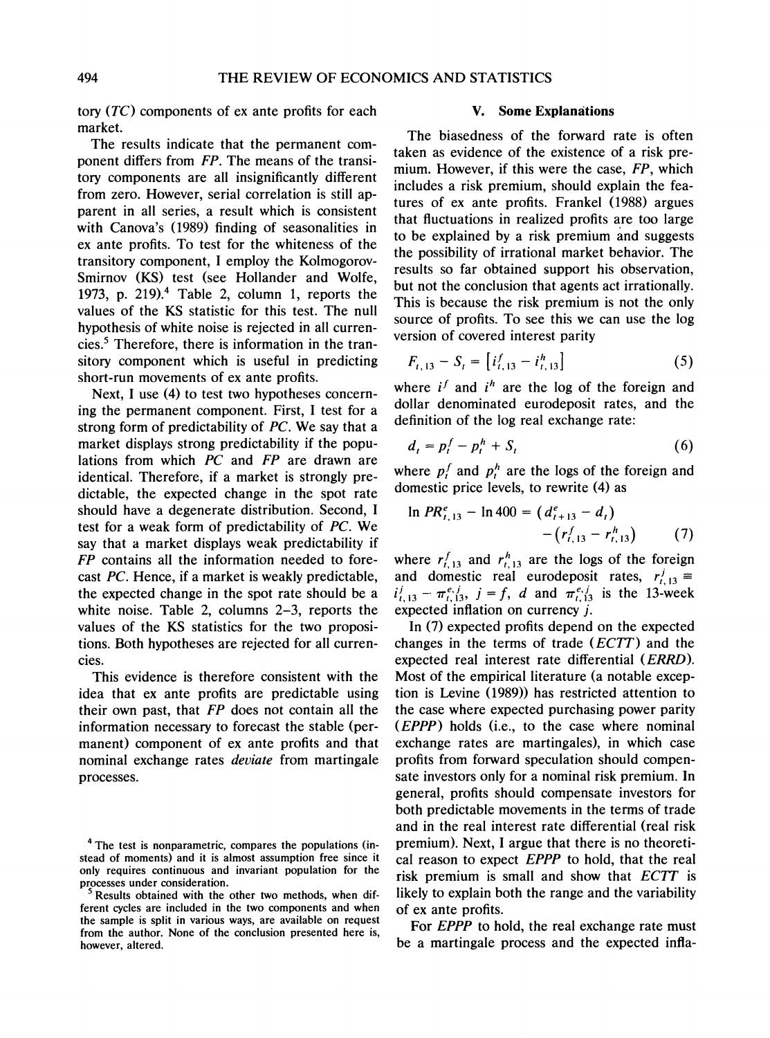**tory (TC) components of ex ante profits for each market.** 

**The results indicate that the permanent component differs from FP. The means of the transitory components are all insignificantly different from zero. However, serial correlation is still apparent in all series, a result which is consistent with Canova's (1989) finding of seasonalities in ex ante profits. To test for the whiteness of the transitory component, I employ the Kolmogorov-Smirnov (KS) test (see Hollander and Wolfe, 1973, p. 219).4 Table 2, column 1, reports the values of the KS statistic for this test. The null hypothesis of white noise is rejected in all currencies.5 Therefore, there is information in the transitory component which is useful in predicting short-run movements of ex ante profits.** 

**Next, I use (4) to test two hypotheses concerning the permanent component. First, I test for a strong form of predictability of PC. We say that a market displays strong predictability if the populations from which PC and FP are drawn are identical. Therefore, if a market is strongly predictable, the expected change in the spot rate should have a degenerate distribution. Second, I test for a weak form of predictability of PC. We say that a market displays weak predictability if FP contains all the information needed to forecast PC. Hence, if a market is weakly predictable, the expected change in the spot rate should be a white noise. Table 2, columns 2-3, reports the values of the KS statistics for the two propositions. Both hypotheses are rejected for all currencies.** 

**This evidence is therefore consistent with the idea that ex ante profits are predictable using their own past, that FP does not contain all the information necessary to forecast the stable (permanent) component of ex ante profits and that nominal exchange rates deviate from martingale processes.** 

#### **V. Some Explanations**

**The biasedness of the forward rate is often taken as evidence of the existence of a risk premium. However, if this were the case, FP, which includes a risk premium, should explain the features of ex ante profits. Frankel (1988) argues that fluctuations in realized profits are too large to be explained by a risk premium and suggests the possibility of irrational market behavior. The results so far obtained support his observation, but not the conclusion that agents act irrationally. This is because the risk premium is not the only source of profits. To see this we can use the log version of covered interest parity** 

$$
F_{t, 13} - S_t = \left[ i_{t, 13}^f - i_{t, 13}^h \right] \tag{5}
$$

where  $i^f$  and  $i^h$  are the log of the foreign and **dollar denominated eurodeposit rates, and the definition of the log real exchange rate:** 

$$
d_t = p_t^f - p_t^h + S_t \tag{6}
$$

where  $p_t^f$  and  $p_t^h$  are the logs of the foreign and **domestic price levels, to rewrite (4) as** 

$$
\ln PR_{t,13}^e - \ln 400 = (d_{t+13}^e - d_t) - (r_{t,13}^f - r_{t,13}^h)
$$
 (7)

where  $r_{t,13}^f$  and  $r_{t,13}^h$  are the logs of the foreign and domestic real eurodeposit rates,  $r_{t, 13}^j$  $\pi_{1,13}^{e,j} - \pi_{1,13}^{e,j}, \quad j = f, \quad d \text{ and } \pi_{1,13}^{e,j} \text{ is the 13-week}$ **expected inflation on currency j.** 

**In (7) expected profits depend on the expected changes in the terms of trade (ECTT) and the expected real interest rate differential (ERRD). Most of the empirical literature (a notable exception is Levine (1989)) has restricted attention to the case where expected purchasing power parity (EPPP) holds (i.e., to the case where nominal exchange rates are martingales), in which case profits from forward speculation should compensate investors only for a nominal risk premium. In general, profits should compensate investors for both predictable movements in the terms of trade and in the real interest rate differential (real risk premium). Next, I argue that there is no theoretical reason to expect EPPP to hold, that the real risk premium is small and show that ECTT is likely to explain both the range and the variability of ex ante profits.** 

**For EPPP to hold, the real exchange rate must be a martingale process and the expected infla-**

**<sup>4</sup> The test is nonparametric, compares the populations (instead of moments) and it is almost assumption free since it only requires continuous and invariant population for the processes under consideration.** 

Results obtained with the other two methods, when dif**ferent cycles are included in the two components and when the sample is split in various ways, are available on request from the author. None of the conclusion presented here is, however, altered.**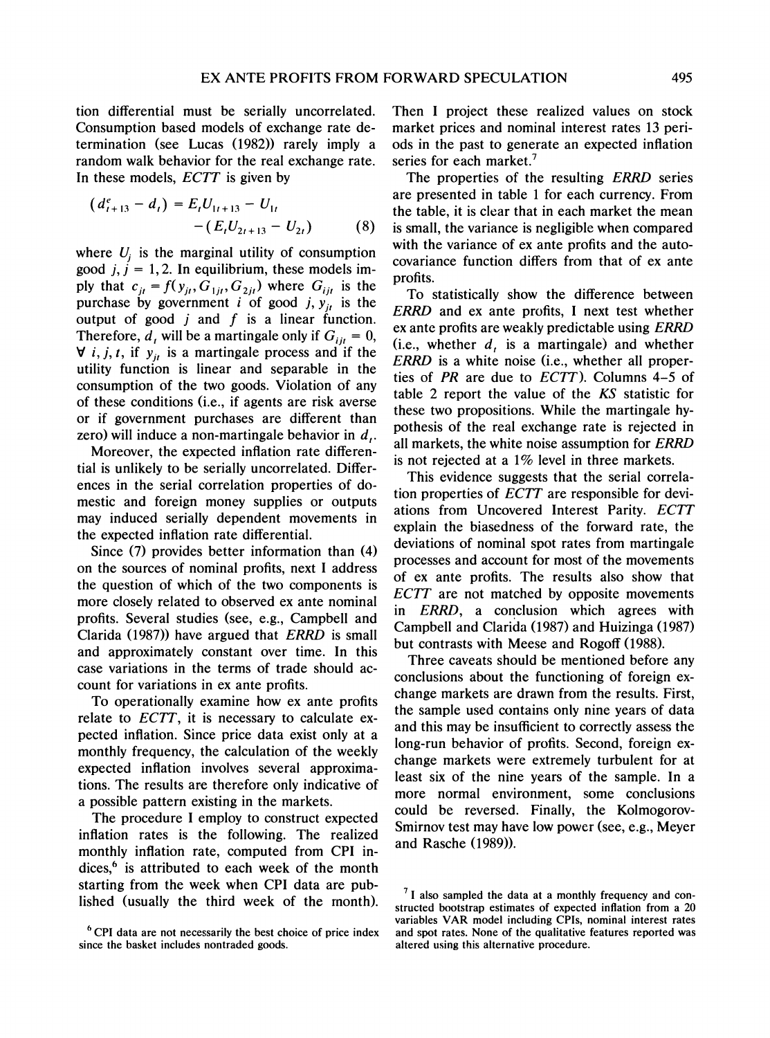**tion differential must be serially uncorrelated. Consumption based models of exchange rate determination (see Lucas (1982)) rarely imply a random walk behavior for the real exchange rate. In these models, ECTT is given by** 

$$
(d'_{t+13} - d_t) = E_t U_{1t+13} - U_{1t}
$$
  
-(E\_t U\_{2t+13} - U\_{2t}) (8)

where  $U_i$  is the marginal utility of consumption good  $j, j = 1, 2$ . In equilibrium, these models im**ply that**  $c_{jt} = f(y_{jt}, G_{1jt}, G_{2jt})$  where  $G_{ijt}$  is the purchase by government *i* of good *j*,  $y_{it}$  is the **output of good j and f is a linear function.**  Therefore,  $d_t$  will be a martingale only if  $G_{ii} = 0$ ,  $\forall$  *i*, *j*, *t*, if  $y_{it}$  is a martingale process and if the **utility function is linear and separable in the consumption of the two goods. Violation of any of these conditions (i.e., if agents are risk averse or if government purchases are different than zero) will induce a non-martingale behavior in d,.** 

**Moreover, the expected inflation rate differential is unlikely to be serially uncorrelated. Differences in the serial correlation properties of domestic and foreign money supplies or outputs may induced serially dependent movements in the expected inflation rate differential.** 

**Since (7) provides better information than (4) on the sources of nominal profits, next I address the question of which of the two components is more closely related to observed ex ante nominal profits. Several studies (see, e.g., Campbell and Clarida (1987)) have argued that ERRD is small and approximately constant over time. In this case variations in the terms of trade should account for variations in ex ante profits.** 

**To operationally examine how ex ante profits relate to ECTT, it is necessary to calculate expected inflation. Since price data exist only at a monthly frequency, the calculation of the weekly expected inflation involves several approximations. The results are therefore only indicative of a possible pattern existing in the markets.** 

**The procedure I employ to construct expected inflation rates is the following. The realized monthly inflation rate, computed from CPI indices,6 is attributed to each week of the month starting from the week when CPI data are published (usually the third week of the rnonth).** 

**Then I project these realized values on stock market prices and nominal interest rates 13 periods in the past to generate an expected inflation series for each market.7** 

**The properties of the resulting ERRD series are presented in table 1 for each currency. From the table, it is clear that in each market the mean is small, the variance is negligible when compared with the variance of ex ante profits and the autocovariance function differs from that of ex ante profits.** 

**To statistically show the difference between ERRD and ex ante profits, I next test whether ex ante profits are weakly predictable using ERRD (i.e., whether d, is a martingale) and whether ERRD is a white noise (i.e., whether all properties of PR are due to ECTT). Columns 4-5 of table 2 report the value of the KS statistic for these two propositions. While the martingale hypothesis of the real exchange rate is rejected in all markets, the white noise assumption for ERRD is not rejected at a 1% level in three markets.** 

**This evidence suggests that the serial correlation properties of ECTT are responsible for deviations from Uncovered Interest Parity. ECTT explain the biasedness of the forward rate, the deviations of nominal spot rates from martingale processes and account for most of the movements of ex ante profits. The results also show that ECTT are not matched by opposite movements in ERRD, a conclusion which agrees with Campbell and Clarida (1987) and Huizinga (1987) but contrasts with Meese and Rogoff (1988).** 

**Three caveats should be mentioned before any conclusions about the functioning of foreign exchange markets are drawn from the results. First, the sample used contains only nine years of data and this may be insufficient to correctly assess the long-run behavior of profits. Second, foreign exchange markets were extremely turbulent for at least six of the nine years of the sample. In a more normal environment, some conclusions could be reversed. Finally, the Kolmogorov-Smirnov test may have low power (see, e.g., Meyer and Rasche (1989)).** 

**<sup>6</sup>CPI data are not necessarily the best choice of price index since the basket includes nontraded goods.** 

**<sup>7</sup> I also sampled the data at a monthly frequency and constructed bootstrap estimates of expected inflation from a 20 variables VAR model including CPIs, nominal interest rates and spot rates. None of the qualitative features reported was altered using this alternative procedure.**